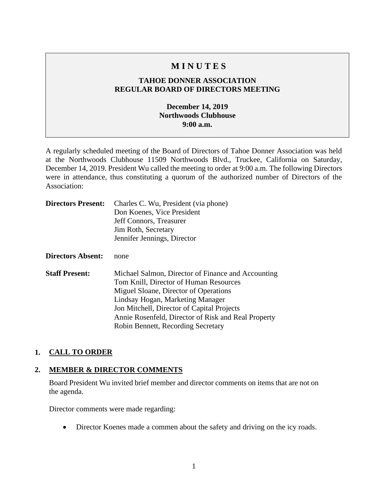# **M I N U T E S**

## **TAHOE DONNER ASSOCIATION REGULAR BOARD OF DIRECTORS MEETING**

## **December 14, 2019 Northwoods Clubhouse 9:00 a.m.**

A regularly scheduled meeting of the Board of Directors of Tahoe Donner Association was held at the Northwoods Clubhouse 11509 Northwoods Blvd., Truckee, California on Saturday, December 14, 2019. President Wu called the meeting to order at 9:00 a.m. The following Directors were in attendance, thus constituting a quorum of the authorized number of Directors of the Association:

| <b>Directors Present:</b> | Charles C. Wu, President (via phone)<br>Don Koenes, Vice President<br>Jeff Connors, Treasurer<br>Jim Roth, Secretary<br>Jennifer Jennings, Director                                                                                                                                                                  |
|---------------------------|----------------------------------------------------------------------------------------------------------------------------------------------------------------------------------------------------------------------------------------------------------------------------------------------------------------------|
| Directors Absent:         | none                                                                                                                                                                                                                                                                                                                 |
| <b>Staff Present:</b>     | Michael Salmon, Director of Finance and Accounting<br>Tom Knill, Director of Human Resources<br>Miguel Sloane, Director of Operations<br>Lindsay Hogan, Marketing Manager<br>Jon Mitchell, Director of Capital Projects<br>Annie Rosenfeld, Director of Risk and Real Property<br>Robin Bennett, Recording Secretary |

#### **1. CALL TO ORDER**

#### **2. MEMBER & DIRECTOR COMMENTS**

Board President Wu invited brief member and director comments on items that are not on the agenda.

Director comments were made regarding:

• Director Koenes made a commen about the safety and driving on the icy roads.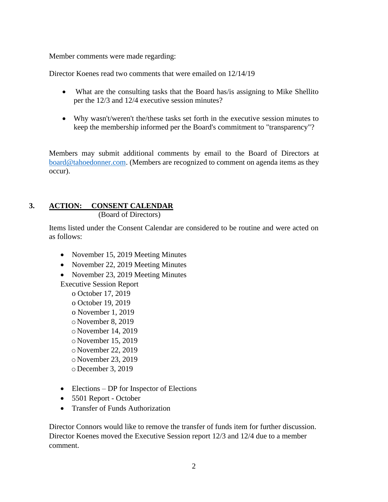Member comments were made regarding:

Director Koenes read two comments that were emailed on 12/14/19

- What are the consulting tasks that the Board has/is assigning to Mike Shellito per the 12/3 and 12/4 executive session minutes?
- Why wasn't/weren't the/these tasks set forth in the executive session minutes to keep the membership informed per the Board's commitment to "transparency"?

Members may submit additional comments by email to the Board of Directors at [board@tahoedonner.com.](mailto:board@tahoedonner.com) (Members are recognized to comment on agenda items as they occur).

# **3. ACTION: CONSENT CALENDAR**

(Board of Directors)

Items listed under the Consent Calendar are considered to be routine and were acted on as follows:

- November 15, 2019 Meeting Minutes
- November 22, 2019 Meeting Minutes
- November 23, 2019 Meeting Minutes

Executive Session Report

o October 17, 2019

- o October 19, 2019
- o November 1, 2019
- o November 8, 2019
- o November 14, 2019
- o November 15, 2019
- o November 22, 2019
- o November 23, 2019
- o December 3, 2019
- Elections DP for Inspector of Elections
- 5501 Report October
- Transfer of Funds Authorization

Director Connors would like to remove the transfer of funds item for further discussion. Director Koenes moved the Executive Session report 12/3 and 12/4 due to a member comment.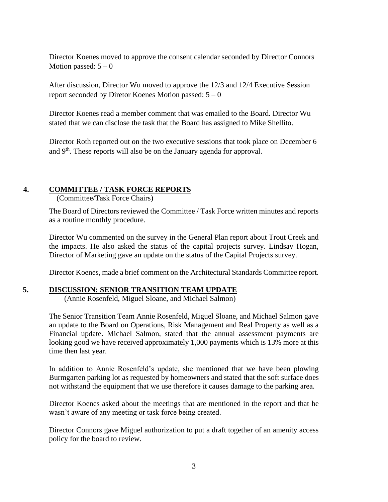Director Koenes moved to approve the consent calendar seconded by Director Connors Motion passed:  $5 - 0$ 

After discussion, Director Wu moved to approve the 12/3 and 12/4 Executive Session report seconded by Diretor Koenes Motion passed:  $5 - 0$ 

Director Koenes read a member comment that was emailed to the Board. Director Wu stated that we can disclose the task that the Board has assigned to Mike Shellito.

Director Roth reported out on the two executive sessions that took place on December 6 and 9<sup>th</sup>. These reports will also be on the January agenda for approval.

## **4. COMMITTEE / TASK FORCE REPORTS**

(Committee/Task Force Chairs)

The Board of Directors reviewed the Committee / Task Force written minutes and reports as a routine monthly procedure.

Director Wu commented on the survey in the General Plan report about Trout Creek and the impacts. He also asked the status of the capital projects survey. Lindsay Hogan, Director of Marketing gave an update on the status of the Capital Projects survey.

Director Koenes, made a brief comment on the Architectural Standards Committee report.

## **5. DISCUSSION: SENIOR TRANSITION TEAM UPDATE**

(Annie Rosenfeld, Miguel Sloane, and Michael Salmon)

The Senior Transition Team Annie Rosenfeld, Miguel Sloane, and Michael Salmon gave an update to the Board on Operations, Risk Management and Real Property as well as a Financial update. Michael Salmon, stated that the annual assessment payments are looking good we have received approximately 1,000 payments which is 13% more at this time then last year.

In addition to Annie Rosenfeld's update, she mentioned that we have been plowing Burmgarten parking lot as requested by homeowners and stated that the soft surface does not withstand the equipment that we use therefore it causes damage to the parking area.

Director Koenes asked about the meetings that are mentioned in the report and that he wasn't aware of any meeting or task force being created.

Director Connors gave Miguel authorization to put a draft together of an amenity access policy for the board to review.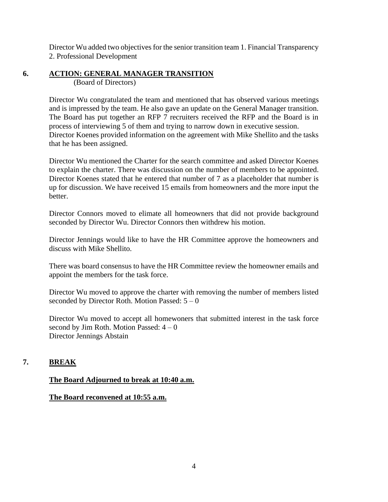Director Wu added two objectives for the senior transition team 1. Financial Transparency 2. Professional Development

#### **6. ACTION: GENERAL MANAGER TRANSITION**

(Board of Directors)

Director Wu congratulated the team and mentioned that has observed various meetings and is impressed by the team. He also gave an update on the General Manager transition. The Board has put together an RFP 7 recruiters received the RFP and the Board is in process of interviewing 5 of them and trying to narrow down in executive session. Director Koenes provided information on the agreement with Mike Shellito and the tasks that he has been assigned.

Director Wu mentioned the Charter for the search committee and asked Director Koenes to explain the charter. There was discussion on the number of members to be appointed. Director Koenes stated that he entered that number of 7 as a placeholder that number is up for discussion. We have received 15 emails from homeowners and the more input the better.

Director Connors moved to elimate all homeowners that did not provide background seconded by Director Wu. Director Connors then withdrew his motion.

Director Jennings would like to have the HR Committee approve the homeowners and discuss with Mike Shellito.

There was board consensus to have the HR Committee review the homeowner emails and appoint the members for the task force.

Director Wu moved to approve the charter with removing the number of members listed seconded by Director Roth. Motion Passed:  $5 - 0$ 

Director Wu moved to accept all homewoners that submitted interest in the task force second by Jim Roth. Motion Passed:  $4-0$ Director Jennings Abstain

# **7. BREAK**

## **The Board Adjourned to break at 10:40 a.m.**

## **The Board reconvened at 10:55 a.m.**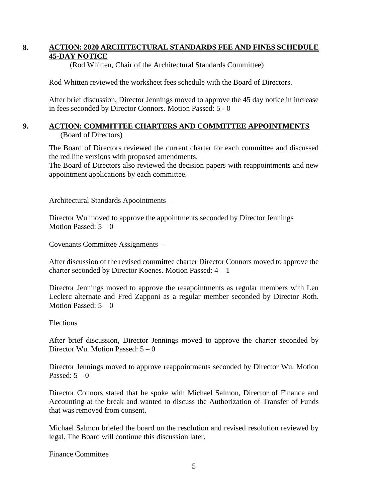## **8. ACTION: 2020 ARCHITECTURAL STANDARDS FEE AND FINES SCHEDULE 45-DAY NOTICE**

(Rod Whitten, Chair of the Architectural Standards Committee)

Rod Whitten reviewed the worksheet fees schedule with the Board of Directors.

After brief discussion, Director Jennings moved to approve the 45 day notice in increase in fees seconded by Director Connors. Motion Passed: 5 - 0

## **9. ACTION: COMMITTEE CHARTERS AND COMMITTEE APPOINTMENTS** (Board of Directors)

The Board of Directors reviewed the current charter for each committee and discussed the red line versions with proposed amendments.

The Board of Directors also reviewed the decision papers with reappointments and new appointment applications by each committee.

Architectural Standards Apoointments –

Director Wu moved to approve the appointments seconded by Director Jennings Motion Passed:  $5 - 0$ 

Covenants Committee Assignments –

After discussion of the revised committee charter Director Connors moved to approve the charter seconded by Director Koenes. Motion Passed: 4 – 1

Director Jennings moved to approve the reaapointments as regular members with Len Leclerc alternate and Fred Zapponi as a regular member seconded by Director Roth. Motion Passed:  $5 - 0$ 

#### Elections

After brief discussion, Director Jennings moved to approve the charter seconded by Director Wu. Motion Passed:  $5 - 0$ 

Director Jennings moved to approve reappointments seconded by Director Wu. Motion Passed:  $5 - 0$ 

Director Connors stated that he spoke with Michael Salmon, Director of Finance and Accounting at the break and wanted to discuss the Authorization of Transfer of Funds that was removed from consent.

Michael Salmon briefed the board on the resolution and revised resolution reviewed by legal. The Board will continue this discussion later.

Finance Committee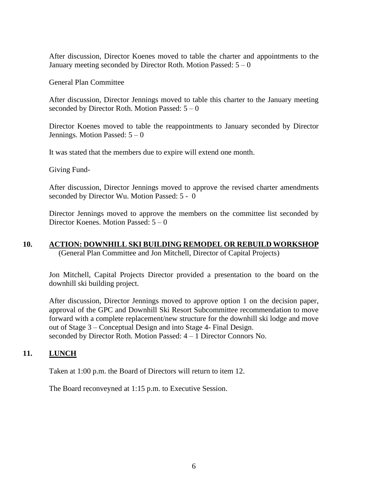After discussion, Director Koenes moved to table the charter and appointments to the January meeting seconded by Director Roth. Motion Passed:  $5 - 0$ 

General Plan Committee

After discussion, Director Jennings moved to table this charter to the January meeting seconded by Director Roth. Motion Passed:  $5 - 0$ 

Director Koenes moved to table the reappointments to January seconded by Director Jennings. Motion Passed: 5 – 0

It was stated that the members due to expire will extend one month.

Giving Fund-

After discussion, Director Jennings moved to approve the revised charter amendments seconded by Director Wu. Motion Passed: 5 - 0

Director Jennings moved to approve the members on the committee list seconded by Director Koenes. Motion Passed: 5 – 0

## **10. ACTION: DOWNHILL SKI BUILDING REMODEL OR REBUILD WORKSHOP** (General Plan Committee and Jon Mitchell, Director of Capital Projects)

Jon Mitchell, Capital Projects Director provided a presentation to the board on the downhill ski building project.

After discussion, Director Jennings moved to approve option 1 on the decision paper, approval of the GPC and Downhill Ski Resort Subcommittee recommendation to move forward with a complete replacement/new structure for the downhill ski lodge and move out of Stage 3 – Conceptual Design and into Stage 4- Final Design. seconded by Director Roth. Motion Passed: 4 – 1 Director Connors No.

#### **11. LUNCH**

Taken at 1:00 p.m. the Board of Directors will return to item 12.

The Board reconveyned at 1:15 p.m. to Executive Session.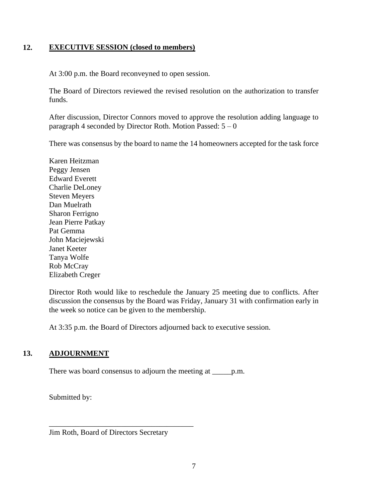## **12. EXECUTIVE SESSION (closed to members)**

At 3:00 p.m. the Board reconveyned to open session.

The Board of Directors reviewed the revised resolution on the authorization to transfer funds.

After discussion, Director Connors moved to approve the resolution adding language to paragraph 4 seconded by Director Roth. Motion Passed:  $5 - 0$ 

There was consensus by the board to name the 14 homeowners accepted for the task force

Karen Heitzman Peggy Jensen Edward Everett Charlie DeLoney Steven Meyers Dan Muelrath Sharon Ferrigno Jean Pierre Patkay Pat Gemma John Maciejewski Janet Keeter Tanya Wolfe Rob McCray Elizabeth Creger

Director Roth would like to reschedule the January 25 meeting due to conflicts. After discussion the consensus by the Board was Friday, January 31 with confirmation early in the week so notice can be given to the membership.

At 3:35 p.m. the Board of Directors adjourned back to executive session.

## **13. ADJOURNMENT**

There was board consensus to adjourn the meeting at <u>each</u>, p.m.

Submitted by:

Jim Roth, Board of Directors Secretary

\_\_\_\_\_\_\_\_\_\_\_\_\_\_\_\_\_\_\_\_\_\_\_\_\_\_\_\_\_\_\_\_\_\_\_\_\_\_